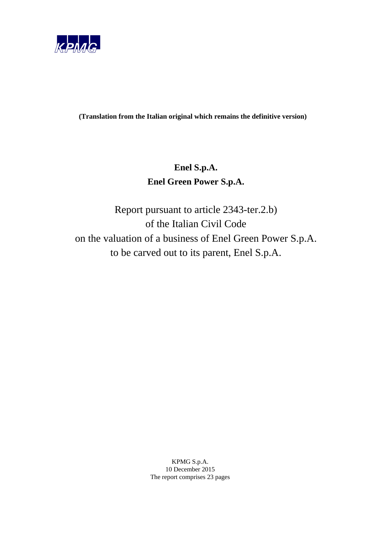

### **(Translation from the Italian original which remains the definitive version)**

# **Enel S.p.A. Enel Green Power S.p.A.**

Report pursuant to article 2343-ter.2.b) of the Italian Civil Code on the valuation of a business of Enel Green Power S.p.A. to be carved out to its parent, Enel S.p.A.

> KPMG S.p.A. 10 December 2015 The report comprises 23 pages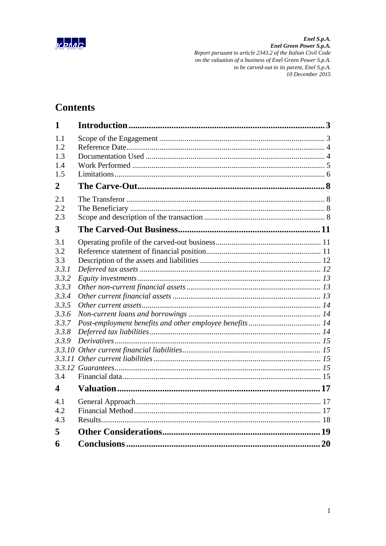

Enel S.p.A.<br> **Enel Green Power S.p.A.**<br> **Enel Green Power S.p.A.**<br>
on the valuation of a business of Enel Green Power S.p.A.<br>
to be carved-out to its parent, Enel S.p.A.<br>
10 December 2015

# **Contents**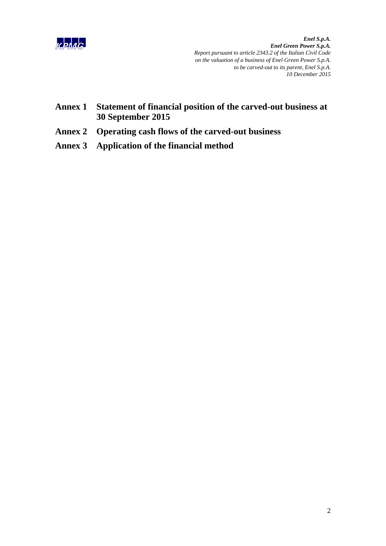

## **Annex 1 Statement of financial position of the carved-out business at 30 September 2015**

- **Annex 2 Operating cash flows of the carved-out business**
- **Annex 3 Application of the financial method**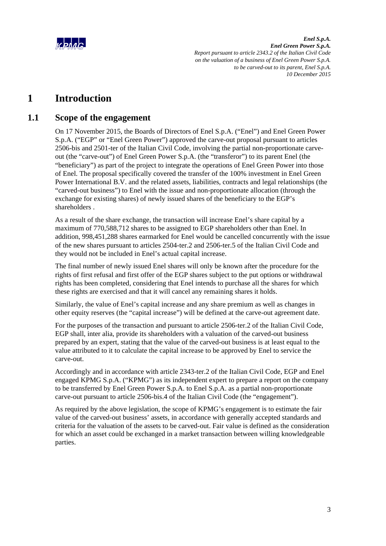

## **1 Introduction**

## **1.1 Scope of the engagement**

On 17 November 2015, the Boards of Directors of Enel S.p.A. ("Enel") and Enel Green Power S.p.A. ("EGP" or "Enel Green Power") approved the carve-out proposal pursuant to articles 2506-bis and 2501-ter of the Italian Civil Code, involving the partial non-proportionate carveout (the "carve-out") of Enel Green Power S.p.A. (the "transferor") to its parent Enel (the "beneficiary") as part of the project to integrate the operations of Enel Green Power into those of Enel. The proposal specifically covered the transfer of the 100% investment in Enel Green Power International B.V. and the related assets, liabilities, contracts and legal relationships (the "carved-out business") to Enel with the issue and non-proportionate allocation (through the exchange for existing shares) of newly issued shares of the beneficiary to the EGP's shareholders .

As a result of the share exchange, the transaction will increase Enel's share capital by a maximum of 770,588,712 shares to be assigned to EGP shareholders other than Enel. In addition, 998,451,288 shares earmarked for Enel would be cancelled concurrently with the issue of the new shares pursuant to articles 2504-ter.2 and 2506-ter.5 of the Italian Civil Code and they would not be included in Enel's actual capital increase.

The final number of newly issued Enel shares will only be known after the procedure for the rights of first refusal and first offer of the EGP shares subject to the put options or withdrawal rights has been completed, considering that Enel intends to purchase all the shares for which these rights are exercised and that it will cancel any remaining shares it holds.

Similarly, the value of Enel's capital increase and any share premium as well as changes in other equity reserves (the "capital increase") will be defined at the carve-out agreement date.

For the purposes of the transaction and pursuant to article 2506-ter.2 of the Italian Civil Code, EGP shall, inter alia, provide its shareholders with a valuation of the carved-out business prepared by an expert, stating that the value of the carved-out business is at least equal to the value attributed to it to calculate the capital increase to be approved by Enel to service the carve-out.

Accordingly and in accordance with article 2343-ter.2 of the Italian Civil Code, EGP and Enel engaged KPMG S.p.A. ("KPMG") as its independent expert to prepare a report on the company to be transferred by Enel Green Power S.p.A. to Enel S.p.A. as a partial non-proportionate carve-out pursuant to article 2506-bis.4 of the Italian Civil Code (the "engagement").

As required by the above legislation, the scope of KPMG's engagement is to estimate the fair value of the carved-out business' assets, in accordance with generally accepted standards and criteria for the valuation of the assets to be carved-out. Fair value is defined as the consideration for which an asset could be exchanged in a market transaction between willing knowledgeable parties.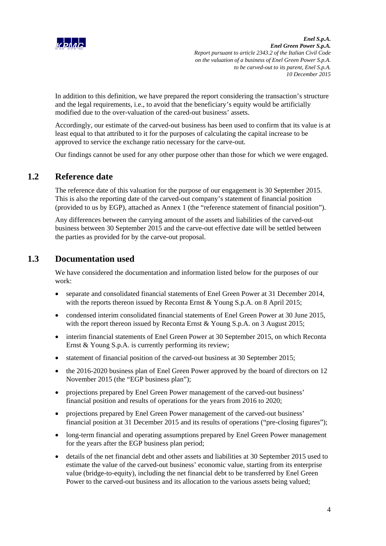

In addition to this definition, we have prepared the report considering the transaction's structure and the legal requirements, i.e., to avoid that the beneficiary's equity would be artificially modified due to the over-valuation of the cared-out business' assets.

Accordingly, our estimate of the carved-out business has been used to confirm that its value is at least equal to that attributed to it for the purposes of calculating the capital increase to be approved to service the exchange ratio necessary for the carve-out.

Our findings cannot be used for any other purpose other than those for which we were engaged.

## **1.2 Reference date**

The reference date of this valuation for the purpose of our engagement is 30 September 2015. This is also the reporting date of the carved-out company's statement of financial position (provided to us by EGP), attached as Annex 1 (the "reference statement of financial position").

Any differences between the carrying amount of the assets and liabilities of the carved-out business between 30 September 2015 and the carve-out effective date will be settled between the parties as provided for by the carve-out proposal.

### **1.3 Documentation used**

We have considered the documentation and information listed below for the purposes of our work:

- separate and consolidated financial statements of Enel Green Power at 31 December 2014, with the reports thereon issued by Reconta Ernst & Young S.p.A. on 8 April 2015;
- condensed interim consolidated financial statements of Enel Green Power at 30 June 2015, with the report thereon issued by Reconta Ernst & Young S.p.A. on 3 August 2015;
- interim financial statements of Enel Green Power at 30 September 2015, on which Reconta Ernst & Young S.p.A. is currently performing its review;
- statement of financial position of the carved-out business at 30 September 2015;
- the 2016-2020 business plan of Enel Green Power approved by the board of directors on 12 November 2015 (the "EGP business plan");
- projections prepared by Enel Green Power management of the carved-out business' financial position and results of operations for the years from 2016 to 2020;
- projections prepared by Enel Green Power management of the carved-out business' financial position at 31 December 2015 and its results of operations ("pre-closing figures");
- long-term financial and operating assumptions prepared by Enel Green Power management for the years after the EGP business plan period;
- details of the net financial debt and other assets and liabilities at 30 September 2015 used to estimate the value of the carved-out business' economic value, starting from its enterprise value (bridge-to-equity), including the net financial debt to be transferred by Enel Green Power to the carved-out business and its allocation to the various assets being valued;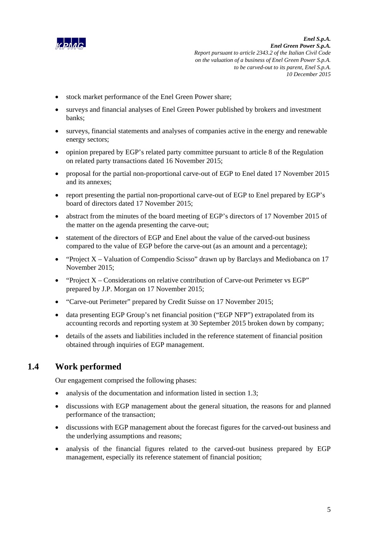

- stock market performance of the Enel Green Power share;
- surveys and financial analyses of Enel Green Power published by brokers and investment banks;
- surveys, financial statements and analyses of companies active in the energy and renewable energy sectors;
- opinion prepared by EGP's related party committee pursuant to article 8 of the Regulation on related party transactions dated 16 November 2015;
- proposal for the partial non-proportional carve-out of EGP to Enel dated 17 November 2015 and its annexes;
- report presenting the partial non-proportional carve-out of EGP to Enel prepared by EGP's board of directors dated 17 November 2015;
- abstract from the minutes of the board meeting of EGP's directors of 17 November 2015 of the matter on the agenda presenting the carve-out;
- statement of the directors of EGP and Enel about the value of the carved-out business compared to the value of EGP before the carve-out (as an amount and a percentage);
- "Project X Valuation of Compendio Scisso" drawn up by Barclays and Mediobanca on 17 November 2015;
- "Project X Considerations on relative contribution of Carve-out Perimeter vs EGP" prepared by J.P. Morgan on 17 November 2015;
- "Carve-out Perimeter" prepared by Credit Suisse on 17 November 2015;
- data presenting EGP Group's net financial position ("EGP NFP") extrapolated from its accounting records and reporting system at 30 September 2015 broken down by company;
- details of the assets and liabilities included in the reference statement of financial position obtained through inquiries of EGP management.

## **1.4 Work performed**

Our engagement comprised the following phases:

- analysis of the documentation and information listed in section 1.3;
- discussions with EGP management about the general situation, the reasons for and planned performance of the transaction;
- discussions with EGP management about the forecast figures for the carved-out business and the underlying assumptions and reasons;
- analysis of the financial figures related to the carved-out business prepared by EGP management, especially its reference statement of financial position;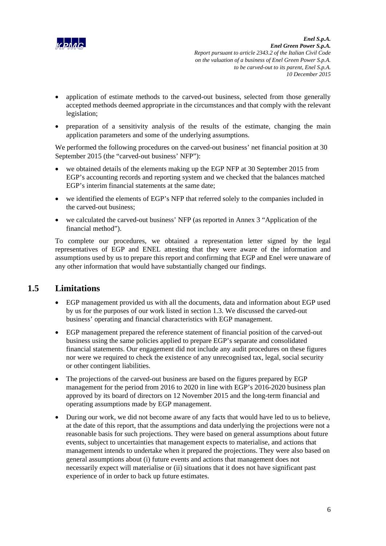

- application of estimate methods to the carved-out business, selected from those generally accepted methods deemed appropriate in the circumstances and that comply with the relevant legislation;
- preparation of a sensitivity analysis of the results of the estimate, changing the main application parameters and some of the underlying assumptions.

We performed the following procedures on the carved-out business' net financial position at 30 September 2015 (the "carved-out business' NFP"):

- we obtained details of the elements making up the EGP NFP at 30 September 2015 from EGP's accounting records and reporting system and we checked that the balances matched EGP's interim financial statements at the same date;
- we identified the elements of EGP's NFP that referred solely to the companies included in the carved-out business;
- we calculated the carved-out business' NFP (as reported in Annex 3 "Application of the financial method").

To complete our procedures, we obtained a representation letter signed by the legal representatives of EGP and ENEL attesting that they were aware of the information and assumptions used by us to prepare this report and confirming that EGP and Enel were unaware of any other information that would have substantially changed our findings.

## **1.5 Limitations**

- EGP management provided us with all the documents, data and information about EGP used by us for the purposes of our work listed in section 1.3. We discussed the carved-out business' operating and financial characteristics with EGP management.
- EGP management prepared the reference statement of financial position of the carved-out business using the same policies applied to prepare EGP's separate and consolidated financial statements. Our engagement did not include any audit procedures on these figures nor were we required to check the existence of any unrecognised tax, legal, social security or other contingent liabilities.
- The projections of the carved-out business are based on the figures prepared by EGP management for the period from 2016 to 2020 in line with EGP's 2016-2020 business plan approved by its board of directors on 12 November 2015 and the long-term financial and operating assumptions made by EGP management.
- During our work, we did not become aware of any facts that would have led to us to believe, at the date of this report, that the assumptions and data underlying the projections were not a reasonable basis for such projections. They were based on general assumptions about future events, subject to uncertainties that management expects to materialise, and actions that management intends to undertake when it prepared the projections. They were also based on general assumptions about (i) future events and actions that management does not necessarily expect will materialise or (ii) situations that it does not have significant past experience of in order to back up future estimates.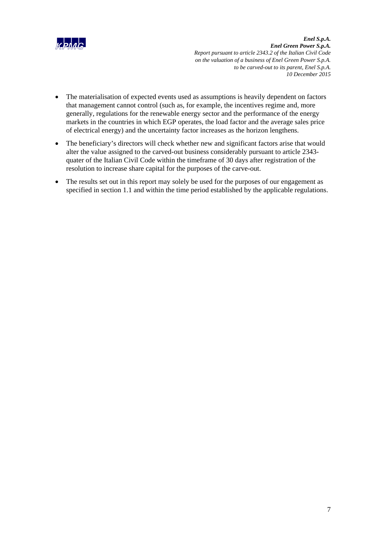

- The materialisation of expected events used as assumptions is heavily dependent on factors that management cannot control (such as, for example, the incentives regime and, more generally, regulations for the renewable energy sector and the performance of the energy markets in the countries in which EGP operates, the load factor and the average sales price of electrical energy) and the uncertainty factor increases as the horizon lengthens.
- The beneficiary's directors will check whether new and significant factors arise that would alter the value assigned to the carved-out business considerably pursuant to article 2343 quater of the Italian Civil Code within the timeframe of 30 days after registration of the resolution to increase share capital for the purposes of the carve-out.
- The results set out in this report may solely be used for the purposes of our engagement as specified in section 1.1 and within the time period established by the applicable regulations.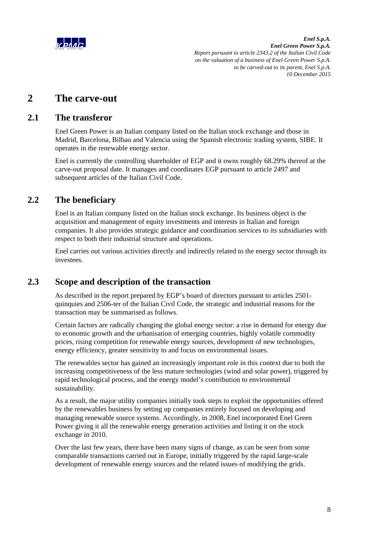

## **2 The carve-out**

### **2.1 The transferor**

Enel Green Power is an Italian company listed on the Italian stock exchange and those in Madrid, Barcelona, Bilbao and Valencia using the Spanish electronic trading system, SIBE. It operates in the renewable energy sector.

Enel is currently the controlling shareholder of EGP and it owns roughly 68.29% thereof at the carve-out proposal date. It manages and coordinates EGP pursuant to article 2497 and subsequent articles of the Italian Civil Code.

### **2.2 The beneficiary**

Enel is an Italian company listed on the Italian stock exchange. Its business object is the acquisition and management of equity investments and interests in Italian and foreign companies. It also provides strategic guidance and coordination services to its subsidiaries with respect to both their industrial structure and operations.

Enel carries out various activities directly and indirectly related to the energy sector through its investees.

### **2.3 Scope and description of the transaction**

As described in the report prepared by EGP's board of directors pursuant to articles 2501 quinquies and 2506-ter of the Italian Civil Code, the strategic and industrial reasons for the transaction may be summarised as follows.

Certain factors are radically changing the global energy sector: a rise in demand for energy due to economic growth and the urbanisation of emerging countries, highly volatile commodity prices, rising competition for renewable energy sources, development of new technologies, energy efficiency, greater sensitivity to and focus on environmental issues.

The renewables sector has gained an increasingly important role in this context due to both the increasing competitiveness of the less mature technologies (wind and solar power), triggered by rapid technological process, and the energy model's contribution to environmental sustainability.

As a result, the major utility companies initially took steps to exploit the opportunities offered by the renewables business by setting up companies entirely focused on developing and managing renewable source systems. Accordingly, in 2008, Enel incorporated Enel Green Power giving it all the renewable energy generation activities and listing it on the stock exchange in 2010.

Over the last few years, there have been many signs of change, as can be seen from some comparable transactions carried out in Europe, initially triggered by the rapid large-scale development of renewable energy sources and the related issues of modifying the grids.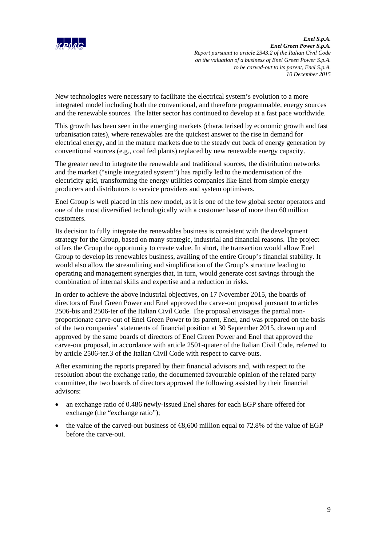

New technologies were necessary to facilitate the electrical system's evolution to a more integrated model including both the conventional, and therefore programmable, energy sources and the renewable sources. The latter sector has continued to develop at a fast pace worldwide.

This growth has been seen in the emerging markets (characterised by economic growth and fast urbanisation rates), where renewables are the quickest answer to the rise in demand for electrical energy, and in the mature markets due to the steady cut back of energy generation by conventional sources (e.g., coal fed plants) replaced by new renewable energy capacity.

The greater need to integrate the renewable and traditional sources, the distribution networks and the market ("single integrated system") has rapidly led to the modernisation of the electricity grid, transforming the energy utilities companies like Enel from simple energy producers and distributors to service providers and system optimisers.

Enel Group is well placed in this new model, as it is one of the few global sector operators and one of the most diversified technologically with a customer base of more than 60 million customers.

Its decision to fully integrate the renewables business is consistent with the development strategy for the Group, based on many strategic, industrial and financial reasons. The project offers the Group the opportunity to create value. In short, the transaction would allow Enel Group to develop its renewables business, availing of the entire Group's financial stability. It would also allow the streamlining and simplification of the Group's structure leading to operating and management synergies that, in turn, would generate cost savings through the combination of internal skills and expertise and a reduction in risks.

In order to achieve the above industrial objectives, on 17 November 2015, the boards of directors of Enel Green Power and Enel approved the carve-out proposal pursuant to articles 2506-bis and 2506-ter of the Italian Civil Code. The proposal envisages the partial nonproportionate carve-out of Enel Green Power to its parent, Enel, and was prepared on the basis of the two companies' statements of financial position at 30 September 2015, drawn up and approved by the same boards of directors of Enel Green Power and Enel that approved the carve-out proposal, in accordance with article 2501-quater of the Italian Civil Code, referred to by article 2506-ter.3 of the Italian Civil Code with respect to carve-outs.

After examining the reports prepared by their financial advisors and, with respect to the resolution about the exchange ratio, the documented favourable opinion of the related party committee, the two boards of directors approved the following assisted by their financial advisors:

- an exchange ratio of 0.486 newly-issued Enel shares for each EGP share offered for exchange (the "exchange ratio");
- the value of the carved-out business of  $\Theta$ .600 million equal to 72.8% of the value of EGP before the carve-out.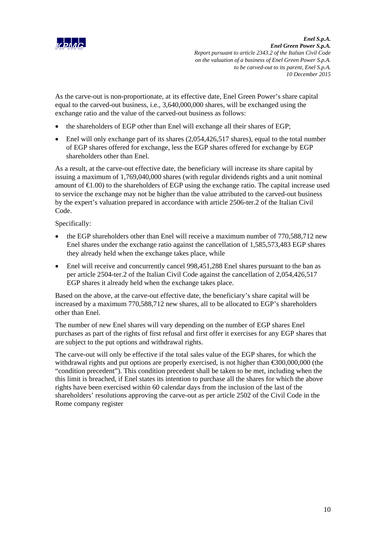

As the carve-out is non-proportionate, at its effective date, Enel Green Power's share capital equal to the carved-out business, i.e., 3,640,000,000 shares, will be exchanged using the exchange ratio and the value of the carved-out business as follows:

- the shareholders of EGP other than Enel will exchange all their shares of EGP;
- Enel will only exchange part of its shares (2,054,426,517 shares), equal to the total number of EGP shares offered for exchange, less the EGP shares offered for exchange by EGP shareholders other than Enel.

As a result, at the carve-out effective date, the beneficiary will increase its share capital by issuing a maximum of 1,769,040,000 shares (with regular dividends rights and a unit nominal amount of  $\epsilon 1.00$ ) to the shareholders of EGP using the exchange ratio. The capital increase used to service the exchange may not be higher than the value attributed to the carved-out business by the expert's valuation prepared in accordance with article 2506-ter.2 of the Italian Civil Code.

#### Specifically:

- the EGP shareholders other than Enel will receive a maximum number of 770,588,712 new Enel shares under the exchange ratio against the cancellation of 1,585,573,483 EGP shares they already held when the exchange takes place, while
- Enel will receive and concurrently cancel 998,451,288 Enel shares pursuant to the ban as per article 2504-ter.2 of the Italian Civil Code against the cancellation of 2,054,426,517 EGP shares it already held when the exchange takes place.

Based on the above, at the carve-out effective date, the beneficiary's share capital will be increased by a maximum 770,588,712 new shares, all to be allocated to EGP's shareholders other than Enel.

The number of new Enel shares will vary depending on the number of EGP shares Enel purchases as part of the rights of first refusal and first offer it exercises for any EGP shares that are subject to the put options and withdrawal rights.

The carve-out will only be effective if the total sales value of the EGP shares, for which the withdrawal rights and put options are properly exercised, is not higher than €300,000,000 (the "condition precedent"). This condition precedent shall be taken to be met, including when the this limit is breached, if Enel states its intention to purchase all the shares for which the above rights have been exercised within 60 calendar days from the inclusion of the last of the shareholders' resolutions approving the carve-out as per article 2502 of the Civil Code in the Rome company register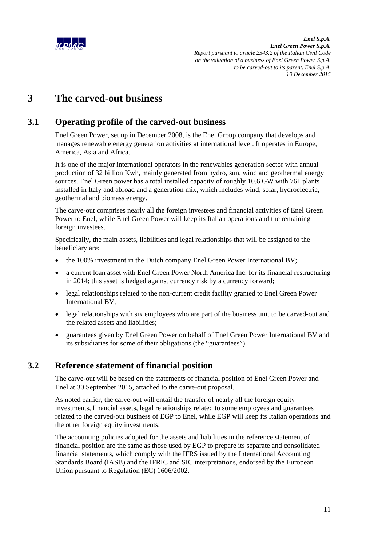

## **3 The carved-out business**

## **3.1 Operating profile of the carved-out business**

Enel Green Power, set up in December 2008, is the Enel Group company that develops and manages renewable energy generation activities at international level. It operates in Europe, America, Asia and Africa.

It is one of the major international operators in the renewables generation sector with annual production of 32 billion Kwh, mainly generated from hydro, sun, wind and geothermal energy sources. Enel Green power has a total installed capacity of roughly 10.6 GW with 761 plants installed in Italy and abroad and a generation mix, which includes wind, solar, hydroelectric, geothermal and biomass energy.

The carve-out comprises nearly all the foreign investees and financial activities of Enel Green Power to Enel, while Enel Green Power will keep its Italian operations and the remaining foreign investees.

Specifically, the main assets, liabilities and legal relationships that will be assigned to the beneficiary are:

- the 100% investment in the Dutch company Enel Green Power International BV;
- a current loan asset with Enel Green Power North America Inc. for its financial restructuring in 2014; this asset is hedged against currency risk by a currency forward;
- legal relationships related to the non-current credit facility granted to Enel Green Power International BV;
- legal relationships with six employees who are part of the business unit to be carved-out and the related assets and liabilities;
- guarantees given by Enel Green Power on behalf of Enel Green Power International BV and its subsidiaries for some of their obligations (the "guarantees").

## **3.2 Reference statement of financial position**

The carve-out will be based on the statements of financial position of Enel Green Power and Enel at 30 September 2015, attached to the carve-out proposal.

As noted earlier, the carve-out will entail the transfer of nearly all the foreign equity investments, financial assets, legal relationships related to some employees and guarantees related to the carved-out business of EGP to Enel, while EGP will keep its Italian operations and the other foreign equity investments.

The accounting policies adopted for the assets and liabilities in the reference statement of financial position are the same as those used by EGP to prepare its separate and consolidated financial statements, which comply with the IFRS issued by the International Accounting Standards Board (IASB) and the IFRIC and SIC interpretations, endorsed by the European Union pursuant to Regulation (EC) 1606/2002.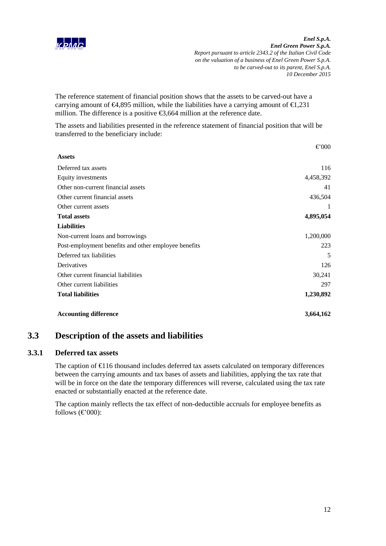

The reference statement of financial position shows that the assets to be carved-out have a carrying amount of  $\epsilon 4,895$  million, while the liabilities have a carrying amount of  $\epsilon 1,231$ million. The difference is a positive  $\epsilon$ 3,664 million at the reference date.

The assets and liabilities presented in the reference statement of financial position that will be transferred to the beneficiary include:

|                                                      | $\epsilon$ 000 |
|------------------------------------------------------|----------------|
| <b>Assets</b>                                        |                |
| Deferred tax assets                                  | 116            |
| Equity investments                                   | 4,458,392      |
| Other non-current financial assets                   | 41             |
| Other current financial assets                       | 436,504        |
| Other current assets                                 |                |
| <b>Total assets</b>                                  | 4,895,054      |
| <b>Liabilities</b>                                   |                |
| Non-current loans and borrowings                     | 1,200,000      |
| Post-employment benefits and other employee benefits | 223            |
| Deferred tax liabilities                             | 5              |
| Derivatives                                          | 126            |
| Other current financial liabilities                  | 30,241         |
| Other current liabilities                            | 297            |
| <b>Total liabilities</b>                             | 1,230,892      |
| <b>Accounting difference</b>                         | 3,664,162      |

## **3.3 Description of the assets and liabilities**

#### **3.3.1 Deferred tax assets**

The caption of €116 thousand includes deferred tax assets calculated on temporary differences between the carrying amounts and tax bases of assets and liabilities, applying the tax rate that will be in force on the date the temporary differences will reverse, calculated using the tax rate enacted or substantially enacted at the reference date.

The caption mainly reflects the tax effect of non-deductible accruals for employee benefits as follows  $(\text{\euro}000)$ :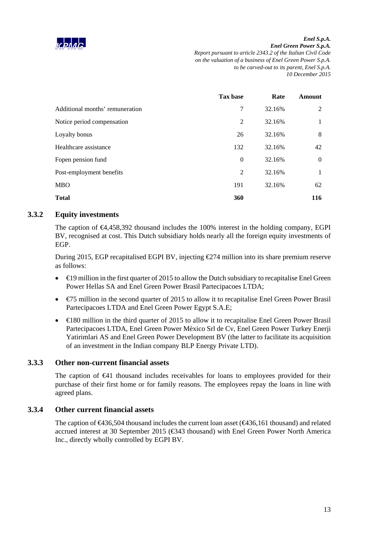

|                                 | <b>Tax base</b> | Rate   | <b>Amount</b> |
|---------------------------------|-----------------|--------|---------------|
| Additional months' remuneration | 7               | 32.16% | 2             |
| Notice period compensation      | 2               | 32.16% | 1             |
| Loyalty bonus                   | 26              | 32.16% | 8             |
| Healthcare assistance           | 132             | 32.16% | 42            |
| Fopen pension fund              | $\theta$        | 32.16% | $\Omega$      |
| Post-employment benefits        | 2               | 32.16% | 1             |
| <b>MBO</b>                      | 191             | 32.16% | 62            |
| <b>Total</b>                    | 360             |        | 116           |

#### **3.3.2 Equity investments**

The caption of €4,458,392 thousand includes the 100% interest in the holding company, EGPI BV, recognised at cost. This Dutch subsidiary holds nearly all the foreign equity investments of EGP.

During 2015, EGP recapitalised EGPI BV, injecting  $\epsilon$ 274 million into its share premium reserve as follows:

- $\bullet$   $\in$  9 million in the first quarter of 2015 to allow the Dutch subsidiary to recapitalise Enel Green Power Hellas SA and Enel Green Power Brasil Partecipacoes LTDA;
- €75 million in the second quarter of 2015 to allow it to recapitalise Enel Green Power Brasil Partecipacoes LTDA and Enel Green Power Egypt S.A.E;
- €180 million in the third quarter of 2015 to allow it to recapitalise Enel Green Power Brasil Partecipacoes LTDA, Enel Green Power Mèxico Srl de Cv, Enel Green Power Turkey Enerji Yatirimlari AS and Enel Green Power Development BV (the latter to facilitate its acquisition of an investment in the Indian company BLP Energy Private LTD).

#### **3.3.3 Other non-current financial assets**

The caption of €41 thousand includes receivables for loans to employees provided for their purchase of their first home or for family reasons. The employees repay the loans in line with agreed plans.

#### **3.3.4 Other current financial assets**

The caption of €436,504 thousand includes the current loan asset (€436,161 thousand) and related accrued interest at 30 September 2015 (€343 thousand) with Enel Green Power North America Inc., directly wholly controlled by EGPI BV.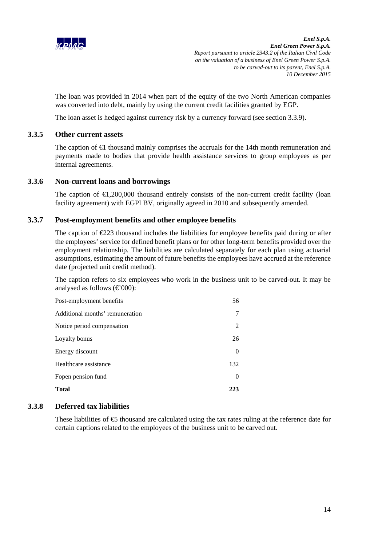

The loan was provided in 2014 when part of the equity of the two North American companies was converted into debt, mainly by using the current credit facilities granted by EGP.

The loan asset is hedged against currency risk by a currency forward (see section 3.3.9).

#### **3.3.5 Other current assets**

The caption of  $\bigoplus$  thousand mainly comprises the accruals for the 14th month remuneration and payments made to bodies that provide health assistance services to group employees as per internal agreements.

#### **3.3.6 Non-current loans and borrowings**

The caption of  $\bigoplus$ , 200,000 thousand entirely consists of the non-current credit facility (loan facility agreement) with EGPI BV, originally agreed in 2010 and subsequently amended.

#### **3.3.7 Post-employment benefits and other employee benefits**

The caption of  $\epsilon$ 223 thousand includes the liabilities for employee benefits paid during or after the employees' service for defined benefit plans or for other long-term benefits provided over the employment relationship. The liabilities are calculated separately for each plan using actuarial assumptions, estimating the amount of future benefits the employees have accrued at the reference date (projected unit credit method).

The caption refers to six employees who work in the business unit to be carved-out. It may be analysed as follows ( $€000$ ):

| Post-employment benefits        | 56  |
|---------------------------------|-----|
| Additional months' remuneration |     |
| Notice period compensation      | 2   |
| Loyalty bonus                   | 26  |
| Energy discount                 | 0   |
| Healthcare assistance           | 132 |
| Fopen pension fund              | 0   |
| <b>Total</b>                    | 223 |

#### **3.3.8 Deferred tax liabilities**

These liabilities of  $\epsilon$  thousand are calculated using the tax rates ruling at the reference date for certain captions related to the employees of the business unit to be carved out.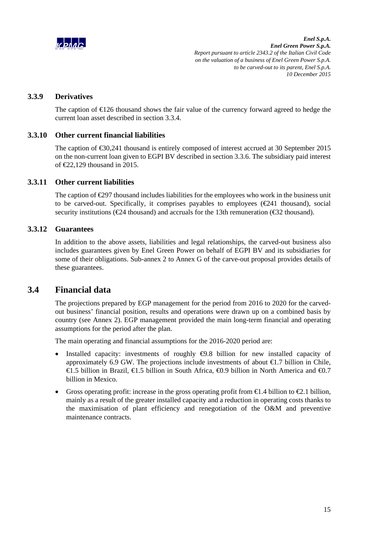

#### **3.3.9 Derivatives**

The caption of  $\epsilon$ 126 thousand shows the fair value of the currency forward agreed to hedge the current loan asset described in section 3.3.4.

#### **3.3.10 Other current financial liabilities**

The caption of €30,241 thousand is entirely composed of interest accrued at 30 September 2015 on the non-current loan given to EGPI BV described in section 3.3.6. The subsidiary paid interest of €22,129 thousand in 2015.

#### **3.3.11 Other current liabilities**

The caption of €297 thousand includes liabilities for the employees who work in the business unit to be carved-out. Specifically, it comprises payables to employees ( $\epsilon$ 241 thousand), social security institutions ( $\epsilon$ 24 thousand) and accruals for the 13th remuneration ( $\epsilon$ 32 thousand).

#### **3.3.12 Guarantees**

In addition to the above assets, liabilities and legal relationships, the carved-out business also includes guarantees given by Enel Green Power on behalf of EGPI BV and its subsidiaries for some of their obligations. Sub-annex 2 to Annex G of the carve-out proposal provides details of these guarantees.

### **3.4 Financial data**

The projections prepared by EGP management for the period from 2016 to 2020 for the carvedout business' financial position, results and operations were drawn up on a combined basis by country (see Annex 2). EGP management provided the main long-term financial and operating assumptions for the period after the plan.

The main operating and financial assumptions for the 2016-2020 period are:

- Installed capacity: investments of roughly €9.8 billion for new installed capacity of approximately 6.9 GW. The projections include investments of about  $\epsilon$ 1.7 billion in Chile, €1.5 billion in Brazil, €1.5 billion in South Africa, €0.9 billion in North America and €0.7 billion in Mexico.
- Gross operating profit: increase in the gross operating profit from  $\in$  4.4 billion to  $\in$  4.1 billion, mainly as a result of the greater installed capacity and a reduction in operating costs thanks to the maximisation of plant efficiency and renegotiation of the O&M and preventive maintenance contracts.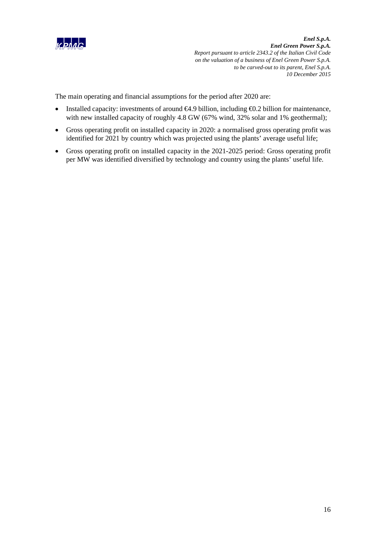

The main operating and financial assumptions for the period after 2020 are:

- Installed capacity: investments of around  $\epsilon 4.9$  billion, including  $\epsilon 0.2$  billion for maintenance, with new installed capacity of roughly 4.8 GW (67% wind, 32% solar and 1% geothermal);
- Gross operating profit on installed capacity in 2020: a normalised gross operating profit was identified for 2021 by country which was projected using the plants' average useful life;
- Gross operating profit on installed capacity in the 2021-2025 period: Gross operating profit per MW was identified diversified by technology and country using the plants' useful life.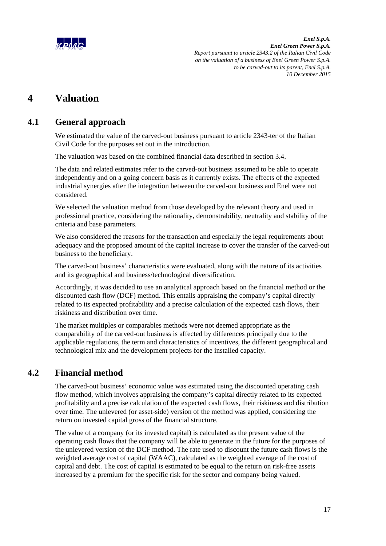

## **4 Valuation**

### **4.1 General approach**

We estimated the value of the carved-out business pursuant to article 2343-ter of the Italian Civil Code for the purposes set out in the introduction.

The valuation was based on the combined financial data described in section 3.4.

The data and related estimates refer to the carved-out business assumed to be able to operate independently and on a going concern basis as it currently exists. The effects of the expected industrial synergies after the integration between the carved-out business and Enel were not considered.

We selected the valuation method from those developed by the relevant theory and used in professional practice, considering the rationality, demonstrability, neutrality and stability of the criteria and base parameters.

We also considered the reasons for the transaction and especially the legal requirements about adequacy and the proposed amount of the capital increase to cover the transfer of the carved-out business to the beneficiary.

The carved-out business' characteristics were evaluated, along with the nature of its activities and its geographical and business/technological diversification.

Accordingly, it was decided to use an analytical approach based on the financial method or the discounted cash flow (DCF) method. This entails appraising the company's capital directly related to its expected profitability and a precise calculation of the expected cash flows, their riskiness and distribution over time.

The market multiples or comparables methods were not deemed appropriate as the comparability of the carved-out business is affected by differences principally due to the applicable regulations, the term and characteristics of incentives, the different geographical and technological mix and the development projects for the installed capacity.

## **4.2 Financial method**

The carved-out business' economic value was estimated using the discounted operating cash flow method, which involves appraising the company's capital directly related to its expected profitability and a precise calculation of the expected cash flows, their riskiness and distribution over time. The unlevered (or asset-side) version of the method was applied, considering the return on invested capital gross of the financial structure.

The value of a company (or its invested capital) is calculated as the present value of the operating cash flows that the company will be able to generate in the future for the purposes of the unlevered version of the DCF method. The rate used to discount the future cash flows is the weighted average cost of capital (WAAC), calculated as the weighted average of the cost of capital and debt. The cost of capital is estimated to be equal to the return on risk-free assets increased by a premium for the specific risk for the sector and company being valued.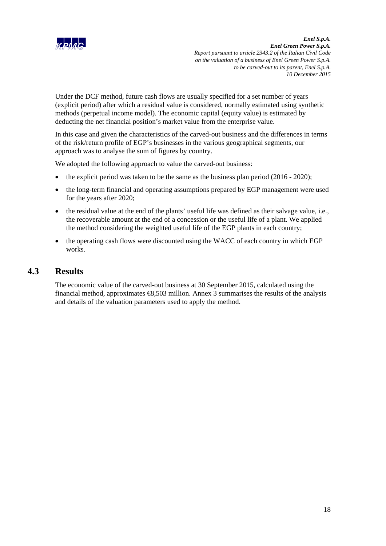

Under the DCF method, future cash flows are usually specified for a set number of years (explicit period) after which a residual value is considered, normally estimated using synthetic methods (perpetual income model). The economic capital (equity value) is estimated by deducting the net financial position's market value from the enterprise value.

In this case and given the characteristics of the carved-out business and the differences in terms of the risk/return profile of EGP's businesses in the various geographical segments, our approach was to analyse the sum of figures by country.

We adopted the following approach to value the carved-out business:

- the explicit period was taken to be the same as the business plan period (2016 2020);
- the long-term financial and operating assumptions prepared by EGP management were used for the years after 2020;
- the residual value at the end of the plants' useful life was defined as their salvage value, i.e., the recoverable amount at the end of a concession or the useful life of a plant. We applied the method considering the weighted useful life of the EGP plants in each country;
- the operating cash flows were discounted using the WACC of each country in which EGP works.

#### **4.3 Results**

The economic value of the carved-out business at 30 September 2015, calculated using the financial method, approximates  $\epsilon$ 8,503 million. Annex 3 summarises the results of the analysis and details of the valuation parameters used to apply the method.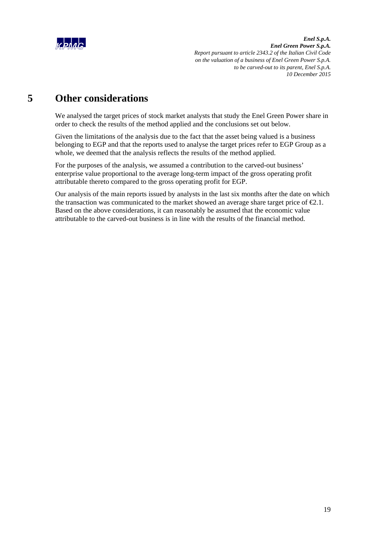

## **5 Other considerations**

We analysed the target prices of stock market analysts that study the Enel Green Power share in order to check the results of the method applied and the conclusions set out below.

Given the limitations of the analysis due to the fact that the asset being valued is a business belonging to EGP and that the reports used to analyse the target prices refer to EGP Group as a whole, we deemed that the analysis reflects the results of the method applied.

For the purposes of the analysis, we assumed a contribution to the carved-out business' enterprise value proportional to the average long-term impact of the gross operating profit attributable thereto compared to the gross operating profit for EGP.

Our analysis of the main reports issued by analysts in the last six months after the date on which the transaction was communicated to the market showed an average share target price of  $\epsilon 2.1$ . Based on the above considerations, it can reasonably be assumed that the economic value attributable to the carved-out business is in line with the results of the financial method.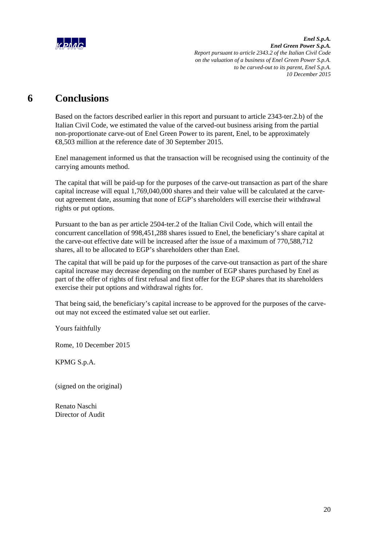

## **6 Conclusions**

Based on the factors described earlier in this report and pursuant to article 2343-ter.2.b) of the Italian Civil Code, we estimated the value of the carved-out business arising from the partial non-proportionate carve-out of Enel Green Power to its parent, Enel, to be approximately €8,503 million at the reference date of 30 September 2015.

Enel management informed us that the transaction will be recognised using the continuity of the carrying amounts method.

The capital that will be paid-up for the purposes of the carve-out transaction as part of the share capital increase will equal 1,769,040,000 shares and their value will be calculated at the carveout agreement date, assuming that none of EGP's shareholders will exercise their withdrawal rights or put options.

Pursuant to the ban as per article 2504-ter.2 of the Italian Civil Code, which will entail the concurrent cancellation of 998,451,288 shares issued to Enel, the beneficiary's share capital at the carve-out effective date will be increased after the issue of a maximum of 770,588,712 shares, all to be allocated to EGP's shareholders other than Enel.

The capital that will be paid up for the purposes of the carve-out transaction as part of the share capital increase may decrease depending on the number of EGP shares purchased by Enel as part of the offer of rights of first refusal and first offer for the EGP shares that its shareholders exercise their put options and withdrawal rights for.

That being said, the beneficiary's capital increase to be approved for the purposes of the carveout may not exceed the estimated value set out earlier.

Yours faithfully

Rome, 10 December 2015

KPMG S.p.A.

(signed on the original)

Renato Naschi Director of Audit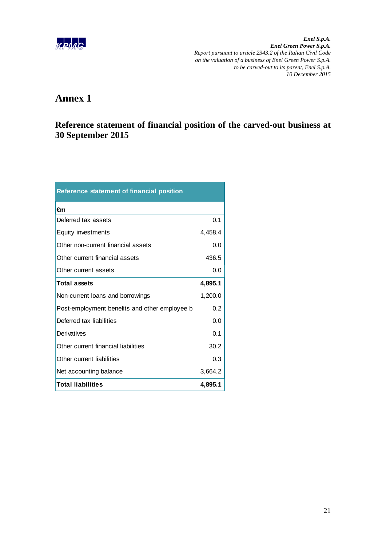

# **Annex 1**

**Reference statement of financial position of the carved-out business at 30 September 2015** 

| Reference statement of financial position      |         |
|------------------------------------------------|---------|
| €m                                             |         |
| Deferred tax assets                            | 0.1     |
| Equity investments                             | 4,458.4 |
| Other non-current financial assets             | 0.0     |
| Other current financial assets                 | 436.5   |
| Other current assets                           | 0.0     |
| <b>Total assets</b>                            | 4,895.1 |
| Non-current loans and borrowings               | 1,200.0 |
| Post-employment benefits and other employee be | 0.2     |
| Deferred tax liabilities                       | 0.0     |
| Derivatives                                    | 0.1     |
| Other current financial liabilities            | 30.2    |
| Other current liabilities                      | 0.3     |
| Net accounting balance                         | 3,664.2 |
| <b>Total liabilities</b>                       | 4,895.1 |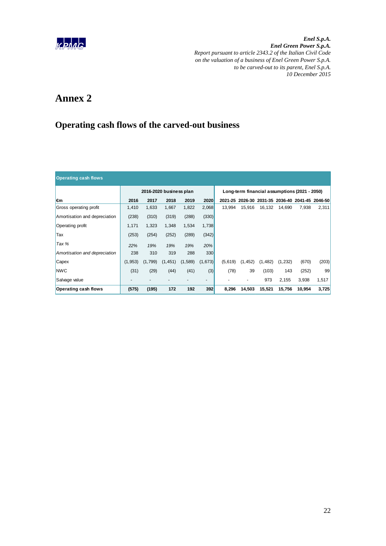

# **Annex 2**

## **Operating cash flows of the carved-out business**

| <b>Operating cash flows</b>   |                         |         |          |         |         |         |          |                                               |                                                 |        |       |
|-------------------------------|-------------------------|---------|----------|---------|---------|---------|----------|-----------------------------------------------|-------------------------------------------------|--------|-------|
|                               | 2016-2020 business plan |         |          |         |         |         |          | Long-term financial assumptions (2021 - 2050) |                                                 |        |       |
| l€m                           | 2016                    | 2017    | 2018     | 2019    | 2020    |         |          |                                               | 2021-25 2026-30 2031-35 2036-40 2041-45 2046-50 |        |       |
| Gross operating profit        | 1,410                   | 1,633   | 1,667    | 1,822   | 2,068   | 13,994  | 15,916   | 16,132                                        | 14,690                                          | 7,938  | 2,311 |
| Amortisation and depreciation | (238)                   | (310)   | (319)    | (288)   | (330)   |         |          |                                               |                                                 |        |       |
| Operating profit              | 1,171                   | 1,323   | 1,348    | 1,534   | 1,738   |         |          |                                               |                                                 |        |       |
| Tax                           | (253)                   | (254)   | (252)    | (289)   | (342)   |         |          |                                               |                                                 |        |       |
| Tax %                         | 22%                     | 19%     | 19%      | 19%     | 20%     |         |          |                                               |                                                 |        |       |
| Amortisation and depreciation | 238                     | 310     | 319      | 288     | 330     |         |          |                                               |                                                 |        |       |
| Capex                         | (1, 953)                | (1,799) | (1, 451) | (1,589) | (1,673) | (5,619) | (1, 452) | (1, 482)                                      | (1,232)                                         | (670)  | (203) |
| <b>NWC</b>                    | (31)                    | (29)    | (44)     | (41)    | (3)     | (78)    | 39       | (103)                                         | 143                                             | (252)  | 99    |
| Salvage value                 |                         |         |          |         |         |         |          | 973                                           | 2,155                                           | 3,938  | 1,517 |
| <b>Operating cash flows</b>   | (575)                   | (195)   | 172      | 192     | 392     | 8,296   | 14,503   | 15,521                                        | 15,756                                          | 10,954 | 3,725 |